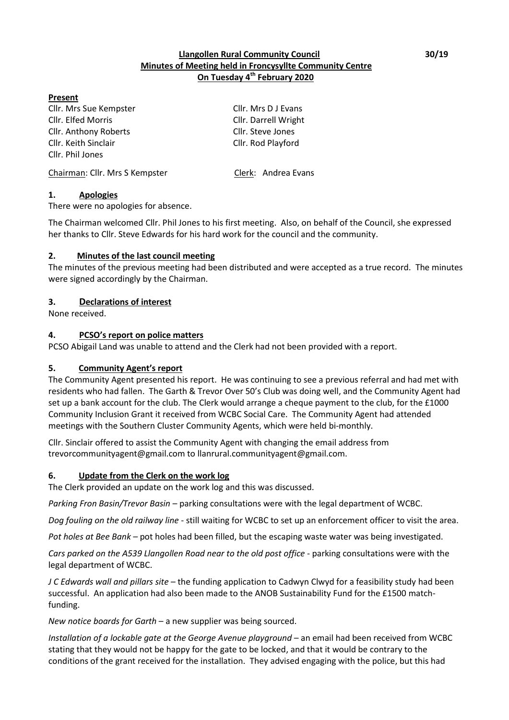## **Llangollen Rural Community Council 30/19 Minutes of Meeting held in Froncysyllte Community Centre On Tuesday 4 th February 2020**

#### **Present**

Cllr. Mrs Sue Kempster Cllr. Mrs D J Evans Cllr. Elfed Morris Cllr. Darrell Wright Cllr. Anthony Roberts Cllr. Steve Jones Cllr. Keith Sinclair Cllr. Rod Playford Cllr. Phil Jones

Chairman: Cllr. Mrs S Kempster Clerk: Andrea Evans

**1. Apologies**

There were no apologies for absence.

The Chairman welcomed Cllr. Phil Jones to his first meeting. Also, on behalf of the Council, she expressed her thanks to Cllr. Steve Edwards for his hard work for the council and the community.

## **2. Minutes of the last council meeting**

The minutes of the previous meeting had been distributed and were accepted as a true record. The minutes were signed accordingly by the Chairman.

# **3. Declarations of interest**

None received.

# **4. PCSO's report on police matters**

PCSO Abigail Land was unable to attend and the Clerk had not been provided with a report.

# **5. Community Agent's report**

The Community Agent presented his report. He was continuing to see a previous referral and had met with residents who had fallen. The Garth & Trevor Over 50's Club was doing well, and the Community Agent had set up a bank account for the club. The Clerk would arrange a cheque payment to the club, for the £1000 Community Inclusion Grant it received from WCBC Social Care. The Community Agent had attended meetings with the Southern Cluster Community Agents, which were held bi-monthly.

Cllr. Sinclair offered to assist the Community Agent with changing the email address from trevorcommunityagent@gmail.com to llanrural.communityagent@gmail.com.

## **6. Update from the Clerk on the work log**

The Clerk provided an update on the work log and this was discussed.

*Parking Fron Basin/Trevor Basin – parking consultations were with the legal department of WCBC.* 

*Dog fouling on the old railway line* - still waiting for WCBC to set up an enforcement officer to visit the area.

*Pot holes at Bee Bank –* pot holes had been filled, but the escaping waste water was being investigated.

*Cars parked on the A539 Llangollen Road near to the old post office* - parking consultations were with the legal department of WCBC.

*J C Edwards wall and pillars site* – the funding application to Cadwyn Clwyd for a feasibility study had been successful. An application had also been made to the ANOB Sustainability Fund for the £1500 matchfunding.

*New notice boards for Garth* – a new supplier was being sourced.

*Installation of a lockable gate at the George Avenue playground* – an email had been received from WCBC stating that they would not be happy for the gate to be locked, and that it would be contrary to the conditions of the grant received for the installation. They advised engaging with the police, but this had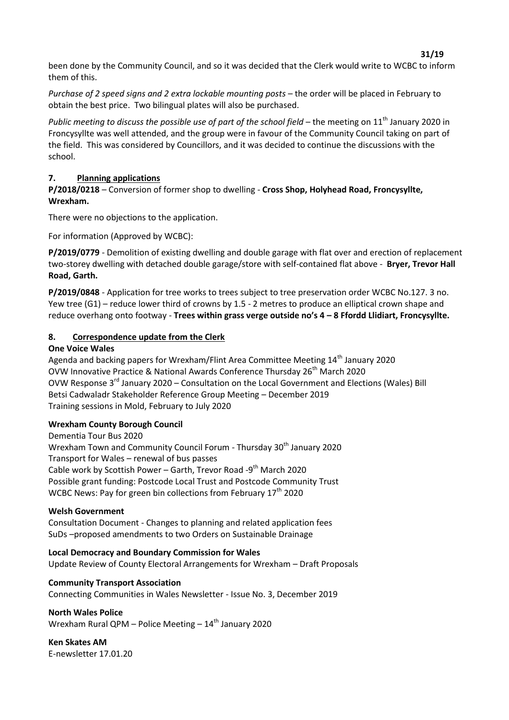been done by the Community Council, and so it was decided that the Clerk would write to WCBC to inform them of this.

*Purchase of 2 speed signs and 2 extra lockable mounting posts* – the order will be placed in February to obtain the best price. Two bilingual plates will also be purchased.

*Public meeting to discuss the possible use of part of the school field* – the meeting on 11<sup>th</sup> January 2020 in Froncysyllte was well attended, and the group were in favour of the Community Council taking on part of the field. This was considered by Councillors, and it was decided to continue the discussions with the school.

#### **7. Planning applications**

**P/2018/0218** – Conversion of former shop to dwelling - **Cross Shop, Holyhead Road, Froncysyllte, Wrexham.**

There were no objections to the application.

For information (Approved by WCBC):

**P/2019/0779** - Demolition of existing dwelling and double garage with flat over and erection of replacement two-storey dwelling with detached double garage/store with self-contained flat above - **Bryer, Trevor Hall Road, Garth.** 

**P/2019/0848** - Application for tree works to trees subject to tree preservation order WCBC No.127. 3 no. Yew tree (G1) – reduce lower third of crowns by 1.5 - 2 metres to produce an elliptical crown shape and reduce overhang onto footway - **Trees within grass verge outside no's 4 – 8 Ffordd Llidiart, Froncysyllte.**

#### **8. Correspondence update from the Clerk**

#### **One Voice Wales**

Agenda and backing papers for Wrexham/Flint Area Committee Meeting 14<sup>th</sup> January 2020 OVW Innovative Practice & National Awards Conference Thursday 26<sup>th</sup> March 2020 OVW Response 3rd January 2020 – Consultation on the Local Government and Elections (Wales) Bill Betsi Cadwaladr Stakeholder Reference Group Meeting – December 2019 Training sessions in Mold, February to July 2020

#### **Wrexham County Borough Council**

Dementia Tour Bus 2020 Wrexham Town and Community Council Forum - Thursday 30<sup>th</sup> January 2020 Transport for Wales – renewal of bus passes Cable work by Scottish Power - Garth, Trevor Road -9<sup>th</sup> March 2020 Possible grant funding: Postcode Local Trust and Postcode Community Trust WCBC News: Pay for green bin collections from February  $17<sup>th</sup>$  2020

#### **Welsh Government**

Consultation Document - Changes to planning and related application fees SuDs –proposed amendments to two Orders on Sustainable Drainage

**Local Democracy and Boundary Commission for Wales** Update Review of County Electoral Arrangements for Wrexham – Draft Proposals

#### **Community Transport Association**

Connecting Communities in Wales Newsletter - Issue No. 3, December 2019

**North Wales Police** Wrexham Rural QPM – Police Meeting –  $14<sup>th</sup>$  January 2020

**Ken Skates AM** E-newsletter 17.01.20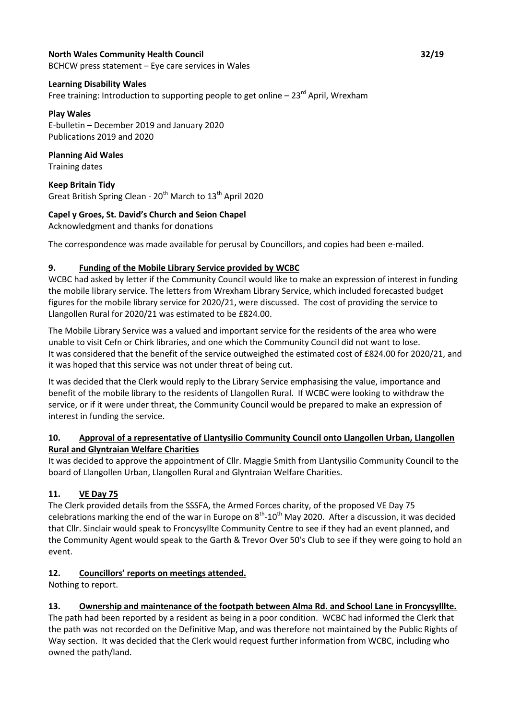# **North Wales Community Health Council 32/19**

BCHCW press statement – Eye care services in Wales

#### **Learning Disability Wales**

Free training: Introduction to supporting people to get online  $-23^{rd}$  April, Wrexham

#### **Play Wales**

E-bulletin – December 2019 and January 2020 Publications 2019 and 2020

#### **Planning Aid Wales** Training dates

**Keep Britain Tidy** Great British Spring Clean - 20<sup>th</sup> March to 13<sup>th</sup> April 2020

# **Capel y Groes, St. David's Church and Seion Chapel**

Acknowledgment and thanks for donations

The correspondence was made available for perusal by Councillors, and copies had been e-mailed.

## **9. Funding of the Mobile Library Service provided by WCBC**

WCBC had asked by letter if the Community Council would like to make an expression of interest in funding the mobile library service. The letters from Wrexham Library Service, which included forecasted budget figures for the mobile library service for 2020/21, were discussed. The cost of providing the service to Llangollen Rural for 2020/21 was estimated to be £824.00.

The Mobile Library Service was a valued and important service for the residents of the area who were unable to visit Cefn or Chirk libraries, and one which the Community Council did not want to lose. It was considered that the benefit of the service outweighed the estimated cost of £824.00 for 2020/21, and it was hoped that this service was not under threat of being cut.

It was decided that the Clerk would reply to the Library Service emphasising the value, importance and benefit of the mobile library to the residents of Llangollen Rural. If WCBC were looking to withdraw the service, or if it were under threat, the Community Council would be prepared to make an expression of interest in funding the service.

# **10. Approval of a representative of Llantysilio Community Council onto Llangollen Urban, Llangollen Rural and Glyntraian Welfare Charities**

It was decided to approve the appointment of Cllr. Maggie Smith from Llantysilio Community Council to the board of Llangollen Urban, Llangollen Rural and Glyntraian Welfare Charities.

# **11. VE Day 75**

The Clerk provided details from the SSSFA, the Armed Forces charity, of the proposed VE Day 75 celebrations marking the end of the war in Europe on  $8^{th}$ -10<sup>th</sup> May 2020. After a discussion, it was decided that Cllr. Sinclair would speak to Froncysyllte Community Centre to see if they had an event planned, and the Community Agent would speak to the Garth & Trevor Over 50's Club to see if they were going to hold an event.

## **12. Councillors' reports on meetings attended.**

Nothing to report.

# **13. Ownership and maintenance of the footpath between Alma Rd. and School Lane in Froncysylllte.**

The path had been reported by a resident as being in a poor condition. WCBC had informed the Clerk that the path was not recorded on the Definitive Map, and was therefore not maintained by the Public Rights of Way section. It was decided that the Clerk would request further information from WCBC, including who owned the path/land.